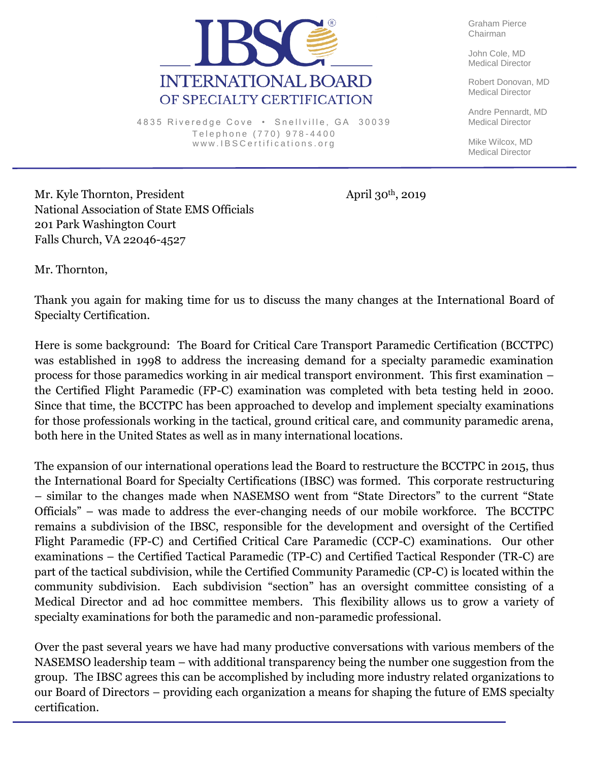

4835 Riveredge Cove · Snellville, GA 30039 Telephone (770) 978-4400 www.IBSCertifications.org

Graham Pierce Chairman

John Cole, MD Medical Director

Robert Donovan, MD Medical Director

Andre Pennardt, MD Medical Director

Mike Wilcox, MD Medical Director

Mr. Kyle Thornton, President April 30<sup>th</sup>, 2019 National Association of State EMS Officials 201 Park Washington Court Falls Church, VA 22046-4527

Mr. Thornton,

Thank you again for making time for us to discuss the many changes at the International Board of Specialty Certification.

Here is some background: The Board for Critical Care Transport Paramedic Certification (BCCTPC) was established in 1998 to address the increasing demand for a specialty paramedic examination process for those paramedics working in air medical transport environment. This first examination – the Certified Flight Paramedic (FP-C) examination was completed with beta testing held in 2000. Since that time, the BCCTPC has been approached to develop and implement specialty examinations for those professionals working in the tactical, ground critical care, and community paramedic arena, both here in the United States as well as in many international locations.

The expansion of our international operations lead the Board to restructure the BCCTPC in 2015, thus the International Board for Specialty Certifications (IBSC) was formed. This corporate restructuring – similar to the changes made when NASEMSO went from "State Directors" to the current "State Officials" – was made to address the ever-changing needs of our mobile workforce. The BCCTPC remains a subdivision of the IBSC, responsible for the development and oversight of the Certified Flight Paramedic (FP-C) and Certified Critical Care Paramedic (CCP-C) examinations. Our other examinations – the Certified Tactical Paramedic (TP-C) and Certified Tactical Responder (TR-C) are part of the tactical subdivision, while the Certified Community Paramedic (CP-C) is located within the community subdivision. Each subdivision "section" has an oversight committee consisting of a Medical Director and ad hoc committee members. This flexibility allows us to grow a variety of specialty examinations for both the paramedic and non-paramedic professional.

Over the past several years we have had many productive conversations with various members of the NASEMSO leadership team – with additional transparency being the number one suggestion from the group. The IBSC agrees this can be accomplished by including more industry related organizations to our Board of Directors – providing each organization a means for shaping the future of EMS specialty certification.